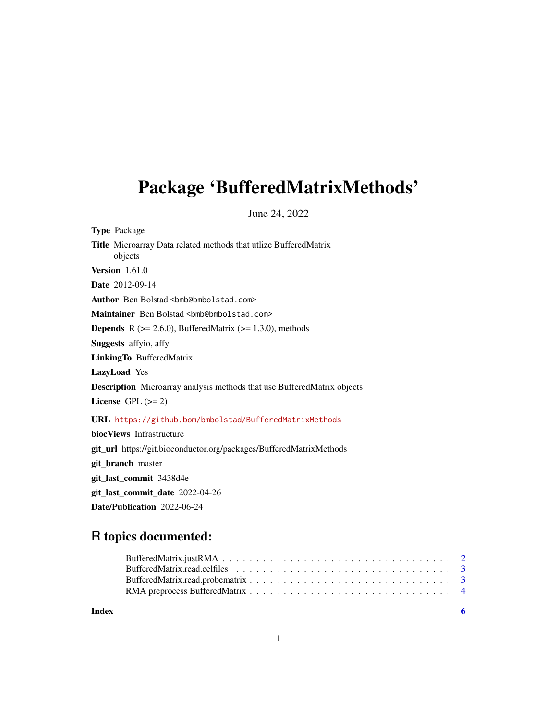## <span id="page-0-0"></span>Package 'BufferedMatrixMethods'

June 24, 2022

Type Package Title Microarray Data related methods that utlize BufferedMatrix objects Version 1.61.0 Date 2012-09-14 Author Ben Bolstad <br/> <br/>bmb@bmbolstad.com> Maintainer Ben Bolstad <br/> <br/>bmb@bmbolstad.com> **Depends** R  $(>= 2.6.0)$ , BufferedMatrix  $(>= 1.3.0)$ , methods Suggests affyio, affy LinkingTo BufferedMatrix LazyLoad Yes Description Microarray analysis methods that use BufferedMatrix objects License GPL  $(>= 2)$ URL <https://github.bom/bmbolstad/BufferedMatrixMethods> biocViews Infrastructure git\_url https://git.bioconductor.org/packages/BufferedMatrixMethods git\_branch master git\_last\_commit 3438d4e git\_last\_commit\_date 2022-04-26

Date/Publication 2022-06-24

## R topics documented:

**Index** [6](#page-5-0) **6**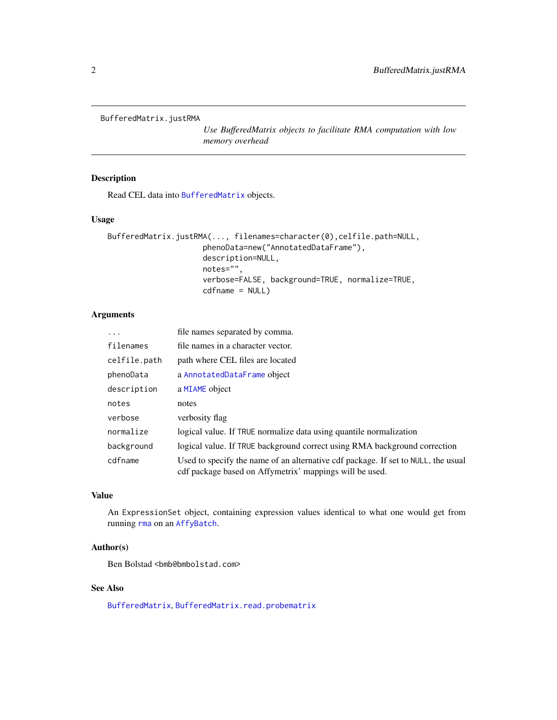<span id="page-1-0"></span>BufferedMatrix.justRMA

*Use BufferedMatrix objects to facilitate RMA computation with low memory overhead*

## Description

Read CEL data into [BufferedMatrix](#page-0-0) objects.

#### Usage

```
BufferedMatrix.justRMA(..., filenames=character(0),celfile.path=NULL,
                     phenoData=new("AnnotatedDataFrame"),
                     description=NULL,
                     notes="",
                     verbose=FALSE, background=TRUE, normalize=TRUE,
                     cdfname = NULL)
```
## Arguments

| .            | file names separated by comma.                                                                                                               |
|--------------|----------------------------------------------------------------------------------------------------------------------------------------------|
| filenames    | file names in a character vector.                                                                                                            |
| celfile.path | path where CEL files are located                                                                                                             |
| phenoData    | a AnnotatedDataFrame object                                                                                                                  |
| description  | a MIAME object                                                                                                                               |
| notes        | notes                                                                                                                                        |
| verbose      | verbosity flag                                                                                                                               |
| normalize    | logical value. If TRUE normalize data using quantile normalization                                                                           |
| background   | logical value. If TRUE background correct using RMA background correction                                                                    |
| cdfname      | Used to specify the name of an alternative cdf package. If set to NULL, the usual<br>cdf package based on Affymetrix' mappings will be used. |

## Value

An ExpressionSet object, containing expression values identical to what one would get from running [rma](#page-0-0) on an [AffyBatch](#page-0-0).

#### Author(s)

Ben Bolstad <br/> <br/>bmb@bmbolstad.com>

#### See Also

[BufferedMatrix](#page-0-0), [BufferedMatrix.read.probematrix](#page-2-1)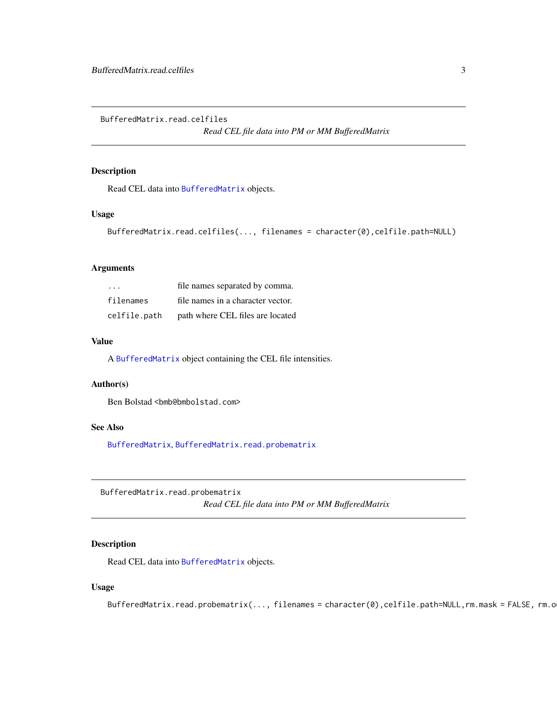<span id="page-2-0"></span>BufferedMatrix.read.celfiles

*Read CEL file data into PM or MM BufferedMatrix*

#### Description

Read CEL data into [BufferedMatrix](#page-0-0) objects.

## Usage

```
BufferedMatrix.read.celfiles(..., filenames = character(0),celfile.path=NULL)
```
#### Arguments

| $\cdot$ $\cdot$ $\cdot$ | file names separated by comma.    |
|-------------------------|-----------------------------------|
| filenames               | file names in a character vector. |
| celfile.path            | path where CEL files are located  |

#### Value

A [BufferedMatrix](#page-0-0) object containing the CEL file intensities.

## Author(s)

Ben Bolstad <bmb@bmbolstad.com>

#### See Also

[BufferedMatrix](#page-0-0), [BufferedMatrix.read.probematrix](#page-2-1)

<span id="page-2-1"></span>BufferedMatrix.read.probematrix

*Read CEL file data into PM or MM BufferedMatrix*

## Description

Read CEL data into [BufferedMatrix](#page-0-0) objects.

#### Usage

```
BufferedMatrix.read.probematrix(..., filenames = character(0),celfile.path=NULL,rm.mask = FALSE, rm.o
```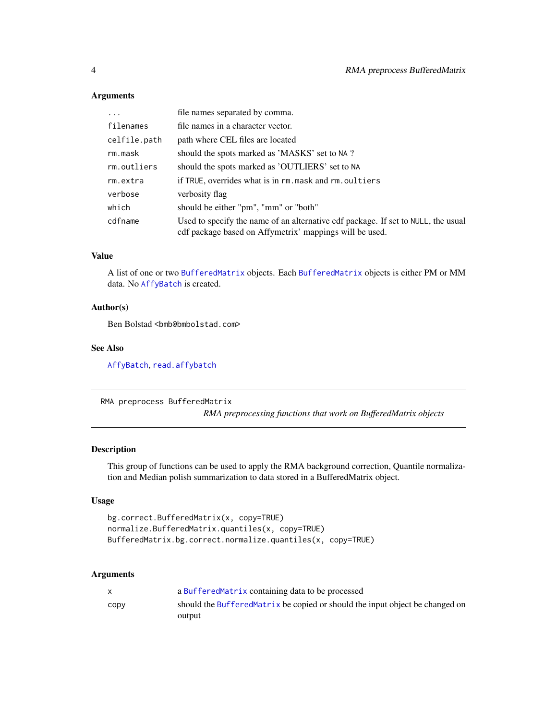## Arguments

| $\ddots$     | file names separated by comma.                                                                                                               |
|--------------|----------------------------------------------------------------------------------------------------------------------------------------------|
| filenames    | file names in a character vector.                                                                                                            |
| celfile.path | path where CEL files are located                                                                                                             |
| rm.mask      | should the spots marked as 'MASKS' set to NA?                                                                                                |
| rm.outliers  | should the spots marked as 'OUTLIERS' set to NA                                                                                              |
| rm.extra     | if TRUE, overrides what is in rm. mask and rm. oultiers                                                                                      |
| verbose      | verbosity flag                                                                                                                               |
| which        | should be either "pm", "mm" or "both"                                                                                                        |
| cdfname      | Used to specify the name of an alternative cdf package. If set to NULL, the usual<br>cdf package based on Affymetrix' mappings will be used. |

## Value

A list of one or two [BufferedMatrix](#page-0-0) objects. Each [BufferedMatrix](#page-0-0) objects is either PM or MM data. No [AffyBatch](#page-0-0) is created.

#### Author(s)

Ben Bolstad <br/> <br/>bmb@bmbolstad.com>

#### See Also

[AffyBatch](#page-0-0), [read.affybatch](#page-0-0)

```
RMA preprocess BufferedMatrix
```
*RMA preprocessing functions that work on BufferedMatrix objects*

#### Description

This group of functions can be used to apply the RMA background correction, Quantile normalization and Median polish summarization to data stored in a BufferedMatrix object.

## Usage

```
bg.correct.BufferedMatrix(x, copy=TRUE)
normalize.BufferedMatrix.quantiles(x, copy=TRUE)
BufferedMatrix.bg.correct.normalize.quantiles(x, copy=TRUE)
```
#### Arguments

|      | a Buffered Matrix containing data to be processed                            |
|------|------------------------------------------------------------------------------|
| copy | should the BufferedMatrix be copied or should the input object be changed on |
|      | output                                                                       |

<span id="page-3-0"></span>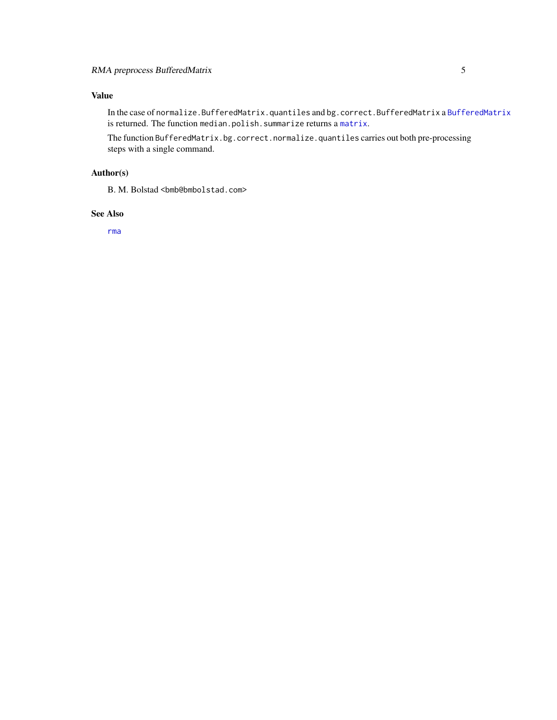## <span id="page-4-0"></span>Value

In the case of normalize.BufferedMatrix.quantiles and bg.correct.BufferedMatrix a [BufferedMatrix](#page-0-0) is returned. The function median.polish.summarize returns a [matrix](#page-0-0).

The function BufferedMatrix.bg.correct.normalize.quantiles carries out both pre-processing steps with a single command.

## Author(s)

B. M. Bolstad <br/> <br/> <br/> <br/> <br/> <br/> <br/> <br/> <br/><br/><br/>Stad.com>

#### See Also

[rma](#page-0-0)